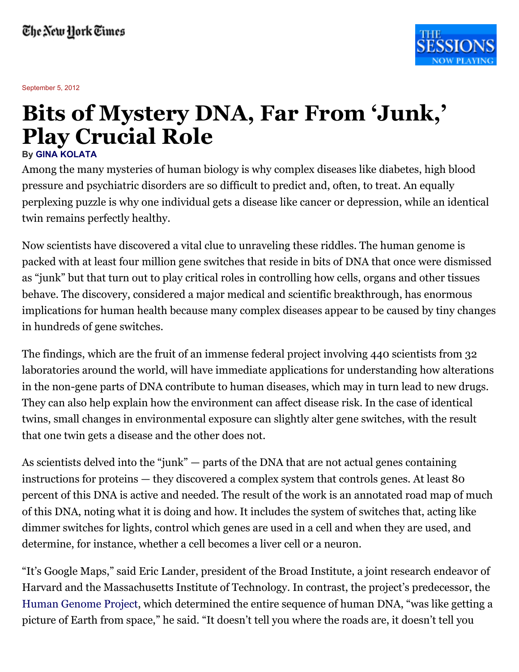## **Bits of Mystery DNA, Far From 'Junk,' Play Crucial Role**

## **By [GINA KOLATA](http://topics.nytimes.com/top/reference/timestopics/people/k/gina_kolata/index.html)**

Among the many mysteries of human biology is why complex diseases like diabetes, high blood pressure and psychiatric disorders are so difficult to predict and, often, to treat. An equally perplexing puzzle is why one individual gets a disease like cancer or depression, while an identical twin remains perfectly healthy.

Now scientists have discovered a vital clue to unraveling these riddles. The human genome is packed with at least four million gene switches that reside in bits of DNA that once were dismissed as "junk" but that turn out to play critical roles in controlling how cells, organs and other tissues behave. The discovery, considered a major medical and scientific breakthrough, has enormous implications for human health because many complex diseases appear to be caused by tiny changes in hundreds of gene switches.

The findings, which are the fruit of an immense federal project involving 440 scientists from 32 laboratories around the world, will have immediate applications for understanding how alterations in the non-gene parts of DNA contribute to human diseases, which may in turn lead to new drugs. They can also help explain how the environment can affect disease risk. In the case of identical twins, small changes in environmental exposure can slightly alter gene switches, with the result that one twin gets a disease and the other does not.

As scientists delved into the "junk" — parts of the DNA that are not actual genes containing instructions for proteins — they discovered a complex system that controls genes. At least 80 percent of this DNA is active and needed. The result of the work is an annotated road map of much of this DNA, noting what it is doing and how. It includes the system of switches that, acting like dimmer switches for lights, control which genes are used in a cell and when they are used, and determine, for instance, whether a cell becomes a liver cell or a neuron.

"It's Google Maps," said Eric Lander, president of the Broad Institute, a joint research endeavor of Harvard and the Massachusetts Institute of Technology. In contrast, the project's predecessor, the [Human Genome Project,](http://www.ornl.gov/sci/techresources/Human_Genome/home.shtml) which determined the entire sequence of human DNA, "was like getting a picture of Earth from space," he said. "It doesn't tell you where the roads are, it doesn't tell you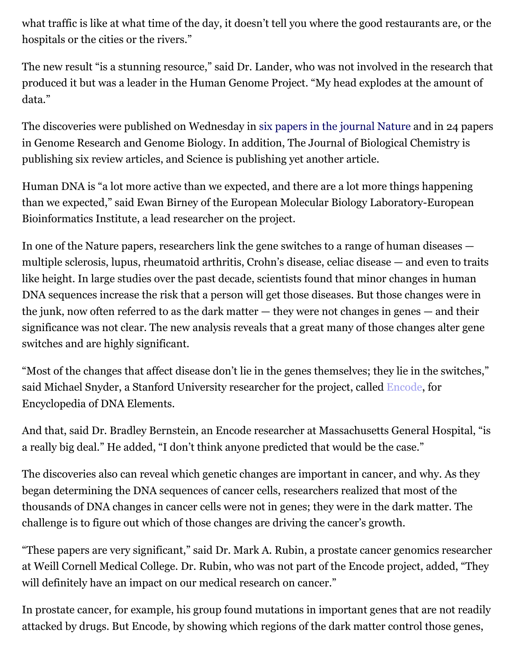what traffic is like at what time of the day, it doesn't tell you where the good restaurants are, or the hospitals or the cities or the rivers."

The new result "is a stunning resource," said Dr. Lander, who was not involved in the research that produced it but was a leader in the Human Genome Project. "My head explodes at the amount of data."

The discoveries were published on Wednesday in [six papers in the journal Nature](http://www.nature.com/nature/journal/v489/n7414/full/489045a.html) and in 24 papers in Genome Research and Genome Biology. In addition, The Journal of Biological Chemistry is publishing six review articles, and Science is publishing yet another article.

Human DNA is "a lot more active than we expected, and there are a lot more things happening than we expected," said Ewan Birney of the European Molecular Biology Laboratory-European Bioinformatics Institute, a lead researcher on the project.

In one of the Nature papers, researchers link the gene switches to a range of human diseases multiple sclerosis, lupus, rheumatoid arthritis, Crohn's disease, celiac disease — and even to traits like height. In large studies over the past decade, scientists found that minor changes in human DNA sequences increase the risk that a person will get those diseases. But those changes were in the junk, now often referred to as the dark matter — they were not changes in genes — and their significance was not clear. The new analysis reveals that a great many of those changes alter gene switches and are highly significant.

"Most of the changes that affect disease don't lie in the genes themselves; they lie in the switches," said Michael Snyder, a Stanford University researcher for the project, called [Encode,](http://www.genome.gov/10005107) for Encyclopedia of DNA Elements.

And that, said Dr. Bradley Bernstein, an Encode researcher at Massachusetts General Hospital, "is a really big deal." He added, "I don't think anyone predicted that would be the case."

The discoveries also can reveal which genetic changes are important in cancer, and why. As they began determining the DNA sequences of cancer cells, researchers realized that most of the thousands of DNA changes in cancer cells were not in genes; they were in the dark matter. The challenge is to figure out which of those changes are driving the cancer's growth.

"These papers are very significant," said Dr. Mark A. Rubin, a prostate cancer genomics researcher at Weill Cornell Medical College. Dr. Rubin, who was not part of the Encode project, added, "They will definitely have an impact on our medical research on cancer."

In prostate cancer, for example, his group found mutations in important genes that are not readily attacked by drugs. But Encode, by showing which regions of the dark matter control those genes,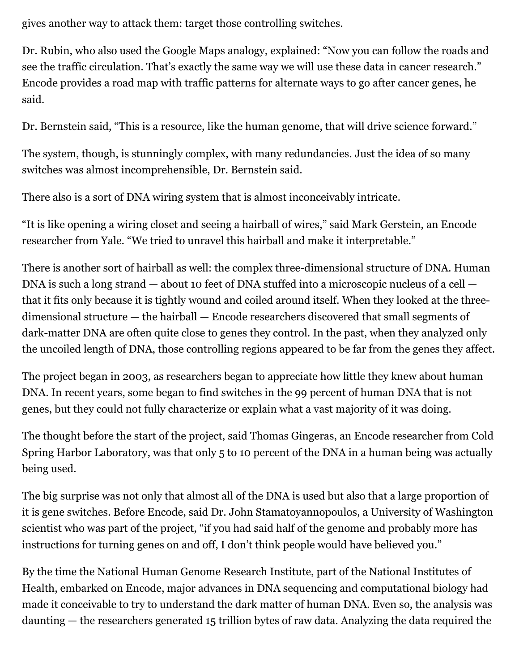gives another way to attack them: target those controlling switches.

Dr. Rubin, who also used the Google Maps analogy, explained: "Now you can follow the roads and see the traffic circulation. That's exactly the same way we will use these data in cancer research." Encode provides a road map with traffic patterns for alternate ways to go after cancer genes, he said.

Dr. Bernstein said, "This is a resource, like the human genome, that will drive science forward."

The system, though, is stunningly complex, with many redundancies. Just the idea of so many switches was almost incomprehensible, Dr. Bernstein said.

There also is a sort of DNA wiring system that is almost inconceivably intricate.

"It is like opening a wiring closet and seeing a hairball of wires," said Mark Gerstein, an Encode researcher from Yale. "We tried to unravel this hairball and make it interpretable."

There is another sort of hairball as well: the complex three-dimensional structure of DNA. Human DNA is such a long strand — about 10 feet of DNA stuffed into a microscopic nucleus of a cell that it fits only because it is tightly wound and coiled around itself. When they looked at the threedimensional structure — the hairball — Encode researchers discovered that small segments of dark-matter DNA are often quite close to genes they control. In the past, when they analyzed only the uncoiled length of DNA, those controlling regions appeared to be far from the genes they affect.

The project began in 2003, as researchers began to appreciate how little they knew about human DNA. In recent years, some began to find switches in the 99 percent of human DNA that is not genes, but they could not fully characterize or explain what a vast majority of it was doing.

The thought before the start of the project, said Thomas Gingeras, an Encode researcher from Cold Spring Harbor Laboratory, was that only 5 to 10 percent of the DNA in a human being was actually being used.

The big surprise was not only that almost all of the DNA is used but also that a large proportion of it is gene switches. Before Encode, said Dr. John Stamatoyannopoulos, a University of Washington scientist who was part of the project, "if you had said half of the genome and probably more has instructions for turning genes on and off, I don't think people would have believed you."

By the time the National Human Genome Research Institute, part of the National Institutes of Health, embarked on Encode, major advances in DNA sequencing and computational biology had made it conceivable to try to understand the dark matter of human DNA. Even so, the analysis was daunting — the researchers generated 15 trillion bytes of raw data. Analyzing the data required the